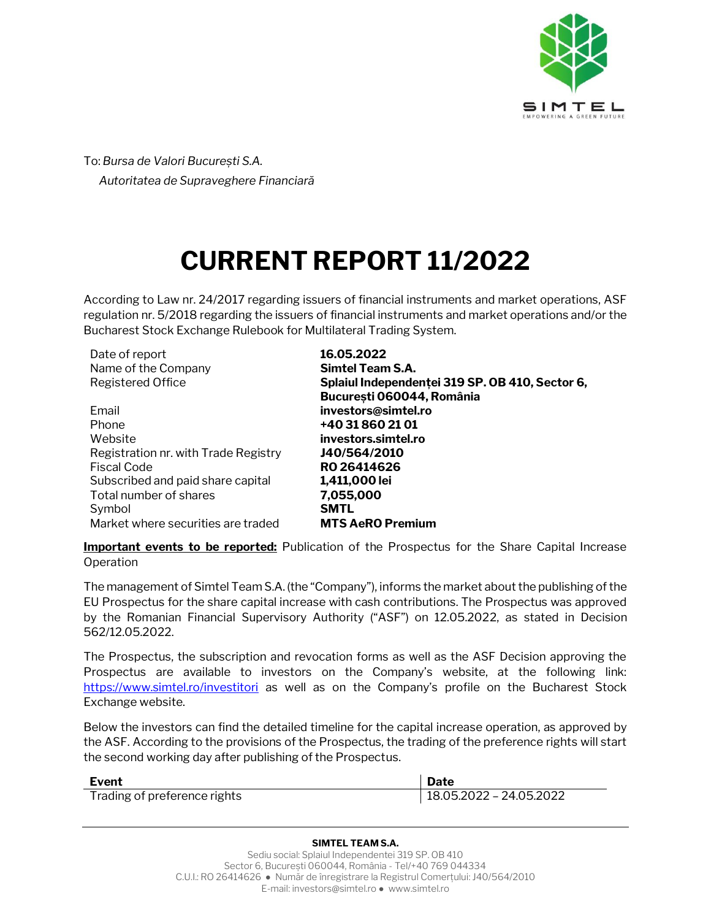

To: *Bursa de Valori București S.A. Autoritatea de Supraveghere Financiară* 

## **CURRENT REPORT 11/2022**

According to Law nr. 24/2017 regarding issuers of financial instruments and market operations, ASF regulation nr. 5/2018 regarding the issuers of financial instruments and market operations and/or the Bucharest Stock Exchange Rulebook for Multilateral Trading System.

| Date of report                       | 16.05.2022                                      |
|--------------------------------------|-------------------------------------------------|
| Name of the Company                  | <b>Simtel Team S.A.</b>                         |
| <b>Registered Office</b>             | Splaiul Independentei 319 SP. OB 410, Sector 6, |
|                                      | București 060044, România                       |
| Email                                | investors@simtel.ro                             |
| Phone                                | +40 31 860 21 01                                |
| Website                              | investors.simtel.ro                             |
| Registration nr. with Trade Registry | J40/564/2010                                    |
| Fiscal Code                          | RO 26414626                                     |
| Subscribed and paid share capital    | 1,411,000 lei                                   |
| Total number of shares               | 7,055,000                                       |
| Symbol                               | <b>SMTL</b>                                     |
| Market where securities are traded   | <b>MTS AeRO Premium</b>                         |

**Important events to be reported:** Publication of the Prospectus for the Share Capital Increase Operation

The management of Simtel Team S.A. (the "Company"), informs the market about the publishing of the EU Prospectus for the share capital increase with cash contributions. The Prospectus was approved by the Romanian Financial Supervisory Authority ("ASF") on 12.05.2022, as stated in Decision 562/12.05.2022.

The Prospectus, the subscription and revocation forms as well as the ASF Decision approving the Prospectus are available to investors on the Company's website, at the following link: <https://www.simtel.ro/investitori> as well as on the Company's profile on the Bucharest Stock Exchange website.

Below the investors can find the detailed timeline for the capital increase operation, as approved by the ASF. According to the provisions of the Prospectus, the trading of the preference rights will start the second working day after publishing of the Prospectus.

| Event                        | Date                    |
|------------------------------|-------------------------|
| Trading of preference rights | 18.05.2022 - 24.05.2022 |